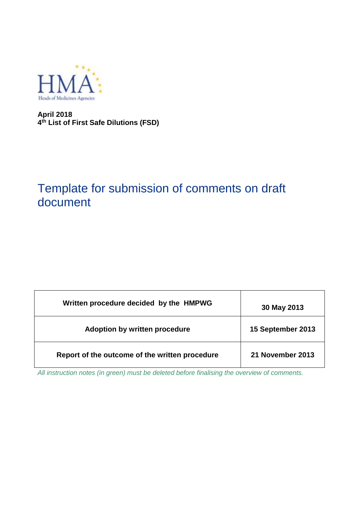

**April 2018 4 th List of First Safe Dilutions (FSD)**

# Template for submission of comments on draft document

| Written procedure decided by the HMPWG         | 30 May 2013       |
|------------------------------------------------|-------------------|
| Adoption by written procedure                  | 15 September 2013 |
| Report of the outcome of the written procedure | 21 November 2013  |

*All instruction notes (in green) must be deleted before finalising the overview of comments.*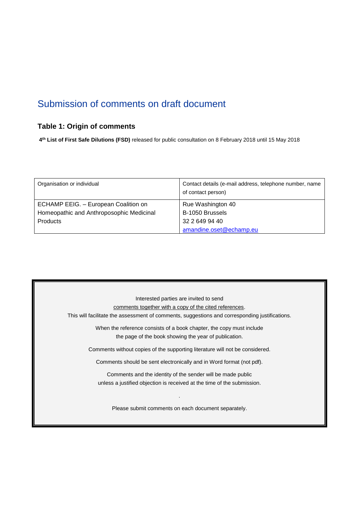## Submission of comments on draft document

### **Table 1: Origin of comments**

**4 th List of First Safe Dilutions (FSD)** released for public consultation on 8 February 2018 until 15 May 2018

| Organisation or individual               | Contact details (e-mail address, telephone number, name<br>of contact person) |
|------------------------------------------|-------------------------------------------------------------------------------|
| ECHAMP EEIG. - European Coalition on     | Rue Washington 40                                                             |
| Homeopathic and Anthroposophic Medicinal | B-1050 Brussels                                                               |
| <b>Products</b>                          | 32 2 649 94 40                                                                |
|                                          | amandine.oset@echamp.eu                                                       |

| Interested parties are invited to send                                                         |
|------------------------------------------------------------------------------------------------|
| comments together with a copy of the cited references.                                         |
| This will facilitate the assessment of comments, suggestions and corresponding justifications. |
| When the reference consists of a book chapter, the copy must include                           |
| the page of the book showing the year of publication.                                          |
| Comments without copies of the supporting literature will not be considered.                   |
| Comments should be sent electronically and in Word format (not pdf).                           |
| Comments and the identity of the sender will be made public                                    |
| unless a justified objection is received at the time of the submission.                        |
| Please submit comments on each document separately.                                            |
|                                                                                                |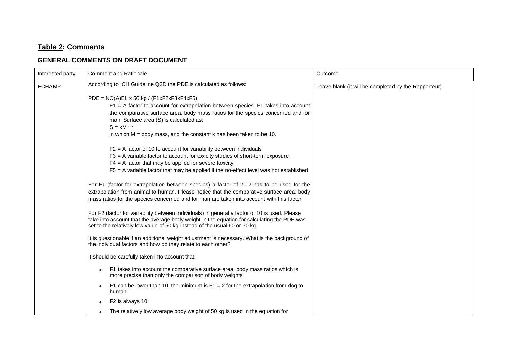### **Table 2: Comments**

#### **GENERAL COMMENTS ON DRAFT DOCUMENT**

| Interested party | <b>Comment and Rationale</b>                                                                                                                                                                                                                                                                                                                                      | Outcome                                               |
|------------------|-------------------------------------------------------------------------------------------------------------------------------------------------------------------------------------------------------------------------------------------------------------------------------------------------------------------------------------------------------------------|-------------------------------------------------------|
| <b>ECHAMP</b>    | According to ICH Guideline Q3D the PDE is calculated as follows:                                                                                                                                                                                                                                                                                                  | Leave blank (it will be completed by the Rapporteur). |
|                  | $PDE = NO(A)EL \times 50 kg / (F1xF2xF3xF4xF5)$<br>$F1 = A$ factor to account for extrapolation between species. F1 takes into account<br>the comparative surface area: body mass ratios for the species concerned and for<br>man. Surface area (S) is calculated as:<br>$S = kM^{0.67}$<br>in which $M =$ body mass, and the constant k has been taken to be 10. |                                                       |
|                  | $F2 = A$ factor of 10 to account for variability between individuals<br>$F3 = A$ variable factor to account for toxicity studies of short-term exposure<br>$F4 = A$ factor that may be applied for severe toxicity<br>$F5 = A$ variable factor that may be applied if the no-effect level was not established                                                     |                                                       |
|                  | For F1 (factor for extrapolation between species) a factor of 2-12 has to be used for the<br>extrapolation from animal to human. Please notice that the comparative surface area: body<br>mass ratios for the species concerned and for man are taken into account with this factor.                                                                              |                                                       |
|                  | For F2 (factor for variability between individuals) in general a factor of 10 is used. Please<br>take into account that the average body weight in the equation for calculating the PDE was<br>set to the relatively low value of 50 kg instead of the usual 60 or 70 kg,                                                                                         |                                                       |
|                  | It is questionable if an additional weight adjustment is necessary. What is the background of<br>the individual factors and how do they relate to each other?                                                                                                                                                                                                     |                                                       |
|                  | It should be carefully taken into account that:                                                                                                                                                                                                                                                                                                                   |                                                       |
|                  | F1 takes into account the comparative surface area: body mass ratios which is<br>more precise than only the comparison of body weights                                                                                                                                                                                                                            |                                                       |
|                  | F1 can be lower than 10, the minimum is $F1 = 2$ for the extrapolation from dog to<br>human                                                                                                                                                                                                                                                                       |                                                       |
|                  | F2 is always 10                                                                                                                                                                                                                                                                                                                                                   |                                                       |
|                  | The relatively low average body weight of 50 kg is used in the equation for                                                                                                                                                                                                                                                                                       |                                                       |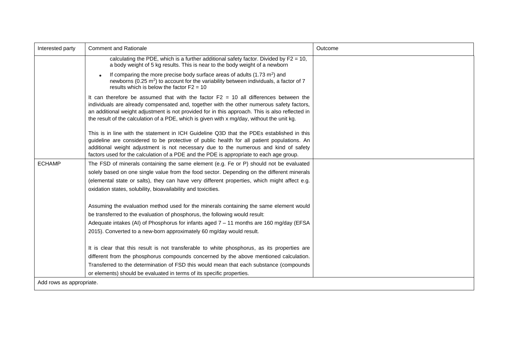| Interested party         | <b>Comment and Rationale</b>                                                                                                                                                                                                                                                                                                                                                         | Outcome |
|--------------------------|--------------------------------------------------------------------------------------------------------------------------------------------------------------------------------------------------------------------------------------------------------------------------------------------------------------------------------------------------------------------------------------|---------|
|                          | calculating the PDE, which is a further additional safety factor. Divided by $F2 = 10$ ,<br>a body weight of 5 kg results. This is near to the body weight of a newborn                                                                                                                                                                                                              |         |
|                          | If comparing the more precise body surface areas of adults $(1.73 \text{ m}^2)$ and<br>newborns (0.25 m <sup>2</sup> ) to account for the variability between individuals, a factor of 7<br>results which is below the factor $F2 = 10$                                                                                                                                              |         |
|                          | It can therefore be assumed that with the factor $F2 = 10$ all differences between the<br>individuals are already compensated and, together with the other numerous safety factors,<br>an additional weight adjustment is not provided for in this approach. This is also reflected in<br>the result of the calculation of a PDE, which is given with x mg/day, without the unit kg. |         |
|                          | This is in line with the statement in ICH Guideline Q3D that the PDEs established in this<br>guideline are considered to be protective of public health for all patient populations. An<br>additional weight adjustment is not necessary due to the numerous and kind of safety<br>factors used for the calculation of a PDE and the PDE is appropriate to each age group.           |         |
| <b>ECHAMP</b>            | The FSD of minerals containing the same element (e.g. Fe or P) should not be evaluated                                                                                                                                                                                                                                                                                               |         |
|                          | solely based on one single value from the food sector. Depending on the different minerals                                                                                                                                                                                                                                                                                           |         |
|                          | (elemental state or salts), they can have very different properties, which might affect e.g.                                                                                                                                                                                                                                                                                         |         |
|                          | oxidation states, solubility, bioavailability and toxicities.                                                                                                                                                                                                                                                                                                                        |         |
|                          | Assuming the evaluation method used for the minerals containing the same element would                                                                                                                                                                                                                                                                                               |         |
|                          | be transferred to the evaluation of phosphorus, the following would result:                                                                                                                                                                                                                                                                                                          |         |
|                          | Adequate intakes (AI) of Phosphorus for infants aged 7 - 11 months are 160 mg/day (EFSA                                                                                                                                                                                                                                                                                              |         |
|                          | 2015). Converted to a new-born approximately 60 mg/day would result.                                                                                                                                                                                                                                                                                                                 |         |
|                          | It is clear that this result is not transferable to white phosphorus, as its properties are                                                                                                                                                                                                                                                                                          |         |
|                          | different from the phosphorus compounds concerned by the above mentioned calculation.                                                                                                                                                                                                                                                                                                |         |
|                          | Transferred to the determination of FSD this would mean that each substance (compounds                                                                                                                                                                                                                                                                                               |         |
|                          | or elements) should be evaluated in terms of its specific properties.                                                                                                                                                                                                                                                                                                                |         |
| Add rows as appropriate. |                                                                                                                                                                                                                                                                                                                                                                                      |         |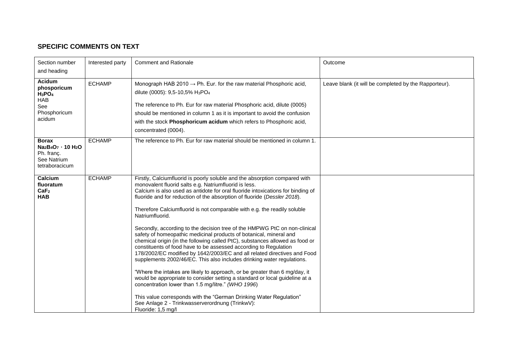#### **SPECIFIC COMMENTS ON TEXT**

| Section number                                                                                                                     | Interested party | <b>Comment and Rationale</b>                                                                                                                                                                                                                                                                                                                                                                                                                                                                                                                                                                                                                                                                                                                                                                                                                                                                                                                                                                                                                                                                                                                                                                                                     | Outcome                                               |
|------------------------------------------------------------------------------------------------------------------------------------|------------------|----------------------------------------------------------------------------------------------------------------------------------------------------------------------------------------------------------------------------------------------------------------------------------------------------------------------------------------------------------------------------------------------------------------------------------------------------------------------------------------------------------------------------------------------------------------------------------------------------------------------------------------------------------------------------------------------------------------------------------------------------------------------------------------------------------------------------------------------------------------------------------------------------------------------------------------------------------------------------------------------------------------------------------------------------------------------------------------------------------------------------------------------------------------------------------------------------------------------------------|-------------------------------------------------------|
| and heading                                                                                                                        |                  |                                                                                                                                                                                                                                                                                                                                                                                                                                                                                                                                                                                                                                                                                                                                                                                                                                                                                                                                                                                                                                                                                                                                                                                                                                  |                                                       |
| Acidum<br>phosporicum<br>$H_3PO_4$<br><b>HAB</b><br>See<br>Phosphoricum<br>acidum                                                  | <b>ECHAMP</b>    | Monograph HAB 2010 $\rightarrow$ Ph. Eur. for the raw material Phosphoric acid,<br>dilute (0005): 9,5-10,5% H <sub>3</sub> PO <sub>4</sub><br>The reference to Ph. Eur for raw material Phosphoric acid, dilute (0005)<br>should be mentioned in column 1 as it is important to avoid the confusion<br>with the stock Phosphoricum acidum which refers to Phosphoric acid,<br>concentrated (0004).                                                                                                                                                                                                                                                                                                                                                                                                                                                                                                                                                                                                                                                                                                                                                                                                                               | Leave blank (it will be completed by the Rapporteur). |
| <b>Borax</b><br>Na <sub>2</sub> B <sub>4</sub> O <sub>7</sub> · 10 H <sub>2</sub> O<br>Ph. franç.<br>See Natrium<br>tetraboracicum | <b>ECHAMP</b>    | The reference to Ph. Eur for raw material should be mentioned in column 1.                                                                                                                                                                                                                                                                                                                                                                                                                                                                                                                                                                                                                                                                                                                                                                                                                                                                                                                                                                                                                                                                                                                                                       |                                                       |
| Calcium<br>fluoratum<br>CaF <sub>2</sub><br><b>HAB</b>                                                                             | <b>ECHAMP</b>    | Firstly, Calciumfluorid is poorly soluble and the absorption compared with<br>monovalent fluorid salts e.g. Natriumfluorid is less.<br>Calcium is also used as antidote for oral fluoride intoxications for binding of<br>fluoride and for reduction of the absorption of fluoride (Dessler 2018).<br>Therefore Calciumfluorid is not comparable with e.g. the readily soluble<br>Natriumfluorid.<br>Secondly, according to the decision tree of the HMPWG PtC on non-clinical<br>safety of homeopathic medicinal products of botanical, mineral and<br>chemical origin (in the following called PtC), substances allowed as food or<br>constituents of food have to be assessed according to Regulation<br>178/2002/EC modified by 1642/2003/EC and all related directives and Food<br>supplements 2002/46/EC. This also includes drinking water regulations.<br>"Where the intakes are likely to approach, or be greater than 6 mg/day, it<br>would be appropriate to consider setting a standard or local guideline at a<br>concentration lower than 1.5 mg/litre." (WHO 1996)<br>This value corresponds with the "German Drinking Water Regulation"<br>See Anlage 2 - Trinkwasserverordnung (TrinkwV):<br>Fluoride: 1,5 mg/l |                                                       |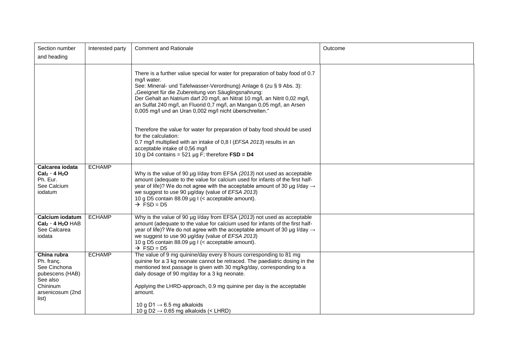| Section number<br>and heading                                                                                     | Interested party | <b>Comment and Rationale</b>                                                                                                                                                                                                                                                                                                                                                                                                                                 | Outcome |
|-------------------------------------------------------------------------------------------------------------------|------------------|--------------------------------------------------------------------------------------------------------------------------------------------------------------------------------------------------------------------------------------------------------------------------------------------------------------------------------------------------------------------------------------------------------------------------------------------------------------|---------|
|                                                                                                                   |                  | There is a further value special for water for preparation of baby food of 0.7<br>mg/l water.<br>See: Mineral- und Tafelwasser-Verordnung) Anlage 6 (zu § 9 Abs. 3):<br>"Geeignet für die Zubereitung von Säuglingsnahrung:<br>Der Gehalt an Natrium darf 20 mg/l, an Nitrat 10 mg/l, an Nitrit 0,02 mg/l,<br>an Sulfat 240 mg/l, an Fluorid 0,7 mg/l, an Mangan 0,05 mg/l, an Arsen<br>0,005 mg/l und an Uran 0,002 mg/l nicht überschreiten."              |         |
|                                                                                                                   |                  | Therefore the value for water for preparation of baby food should be used<br>for the calculation:<br>0.7 mg/l multiplied with an intake of 0,81 (EFSA 2013) results in an<br>acceptable intake of 0,56 mg/l<br>10 g D4 contains = 521 $\mu$ g F; therefore FSD = D4                                                                                                                                                                                          |         |
| Calcarea iodata<br>$Cal2 - 4 H2O$<br>Ph. Eur.<br>See Calcium<br>iodatum                                           | <b>ECHAMP</b>    | Why is the value of 90 µg I/day from EFSA (2013) not used as acceptable<br>amount (adequate to the value for calcium used for infants of the first half-<br>year of life)? We do not agree with the acceptable amount of 30 µg I/day $\rightarrow$<br>we suggest to use 90 µg/day (value of EFSA 2013)<br>10 g D5 contain 88.09 µg I (< acceptable amount).<br>$\rightarrow$ FSD = D5                                                                        |         |
| Calcium iodatum<br>$Cal2 - 4 H2O HAB$<br>See Calcarea<br>iodata                                                   | <b>ECHAMP</b>    | Why is the value of 90 µg I/day from EFSA (2013) not used as acceptable<br>amount (adequate to the value for calcium used for infants of the first half-<br>year of life)? We do not agree with the acceptable amount of 30 µg I/day $\rightarrow$<br>we suggest to use 90 µg/day (value of EFSA 2013)<br>10 g D5 contain 88.09 µg I (< acceptable amount).<br>$\rightarrow$ FSD = D5                                                                        |         |
| China rubra<br>Ph. franç.<br>See Cinchona<br>pubescens (HAB)<br>See also<br>Chininum<br>arsenicosum (2nd<br>list) | <b>ECHAMP</b>    | The value of 9 mg quinine/day every 8 hours corresponding to 81 mg<br>quinine for a 3 kg neonate cannot be retraced. The paediatric dosing in the<br>mentioned text passage is given with 30 mg/kg/day, corresponding to a<br>daily dosage of 90 mg/day for a 3 kg neonate.<br>Applying the LHRD-approach, 0.9 mg quinine per day is the acceptable<br>amount.<br>10 g D1 $\rightarrow$ 6.5 mg alkaloids<br>10 g D2 $\rightarrow$ 0.65 mg alkaloids (< LHRD) |         |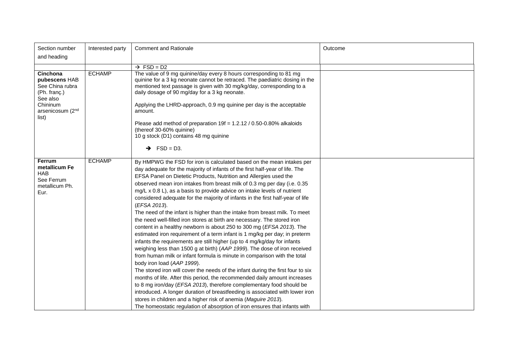| Section number<br>and heading                                                                                     | Interested party | <b>Comment and Rationale</b>                                                                                                                                                                                                                                                                                                                                                                                                                                                                                                                                                                                                                                                                                                                                                                                                                                                                                                                                                                                                                                                                                                                                                                                                                                                                                                                                                                                                                                                                                                                    | Outcome |
|-------------------------------------------------------------------------------------------------------------------|------------------|-------------------------------------------------------------------------------------------------------------------------------------------------------------------------------------------------------------------------------------------------------------------------------------------------------------------------------------------------------------------------------------------------------------------------------------------------------------------------------------------------------------------------------------------------------------------------------------------------------------------------------------------------------------------------------------------------------------------------------------------------------------------------------------------------------------------------------------------------------------------------------------------------------------------------------------------------------------------------------------------------------------------------------------------------------------------------------------------------------------------------------------------------------------------------------------------------------------------------------------------------------------------------------------------------------------------------------------------------------------------------------------------------------------------------------------------------------------------------------------------------------------------------------------------------|---------|
|                                                                                                                   |                  | $\rightarrow$ FSD = D2                                                                                                                                                                                                                                                                                                                                                                                                                                                                                                                                                                                                                                                                                                                                                                                                                                                                                                                                                                                                                                                                                                                                                                                                                                                                                                                                                                                                                                                                                                                          |         |
| Cinchona<br>pubescens HAB<br>See China rubra<br>(Ph. franç.)<br>See also<br>Chininum<br>arsenicosum (2nd<br>list) | <b>ECHAMP</b>    | The value of 9 mg quinine/day every 8 hours corresponding to 81 mg<br>quinine for a 3 kg neonate cannot be retraced. The paediatric dosing in the<br>mentioned text passage is given with 30 mg/kg/day, corresponding to a<br>daily dosage of 90 mg/day for a 3 kg neonate.<br>Applying the LHRD-approach, 0.9 mg quinine per day is the acceptable<br>amount.<br>Please add method of preparation $19f = 1.2.12 / 0.50 - 0.80\%$ alkaloids<br>(thereof 30-60% quinine)<br>10 g stock (D1) contains 48 mg quinine<br>$\rightarrow$ FSD = D3.                                                                                                                                                                                                                                                                                                                                                                                                                                                                                                                                                                                                                                                                                                                                                                                                                                                                                                                                                                                                    |         |
| <b>Ferrum</b><br>metallicum Fe<br><b>HAB</b><br>See Ferrum<br>metallicum Ph.<br>Eur.                              | <b>ECHAMP</b>    | By HMPWG the FSD for iron is calculated based on the mean intakes per<br>day adequate for the majority of infants of the first half-year of life. The<br>EFSA Panel on Dietetic Products, Nutrition and Allergies used the<br>observed mean iron intakes from breast milk of 0.3 mg per day (i.e. 0.35<br>mg/L x 0.8 L), as a basis to provide advice on intake levels of nutrient<br>considered adequate for the majority of infants in the first half-year of life<br>(EFSA 2013).<br>The need of the infant is higher than the intake from breast milk. To meet<br>the need well-filled iron stores at birth are necessary. The stored iron<br>content in a healthy newborn is about 250 to 300 mg (EFSA 2013). The<br>estimated iron requirement of a term infant is 1 mg/kg per day; in preterm<br>infants the requirements are still higher (up to 4 mg/kg/day for infants<br>weighing less than 1500 g at birth) (AAP 1999). The dose of iron received<br>from human milk or infant formula is minute in comparison with the total<br>body iron load (AAP 1999).<br>The stored iron will cover the needs of the infant during the first four to six<br>months of life. After this period, the recommended daily amount increases<br>to 8 mg iron/day (EFSA 2013), therefore complementary food should be<br>introduced. A longer duration of breastfeeding is associated with lower iron<br>stores in children and a higher risk of anemia (Maguire 2013).<br>The homeostatic regulation of absorption of iron ensures that infants with |         |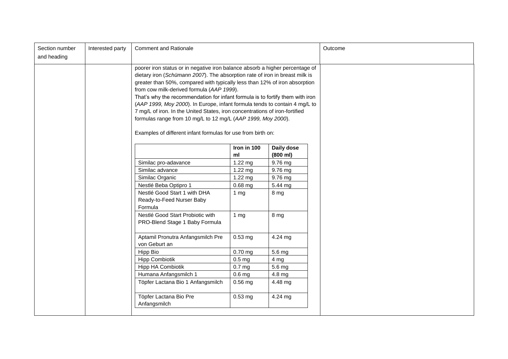| Section number<br>and heading | Interested party | <b>Comment and Rationale</b>                                                                                                                                                                                                                                                                                                                                                                                                                                                                                                                                                                                                                                         |                   |                        | Outcome |
|-------------------------------|------------------|----------------------------------------------------------------------------------------------------------------------------------------------------------------------------------------------------------------------------------------------------------------------------------------------------------------------------------------------------------------------------------------------------------------------------------------------------------------------------------------------------------------------------------------------------------------------------------------------------------------------------------------------------------------------|-------------------|------------------------|---------|
|                               |                  | poorer iron status or in negative iron balance absorb a higher percentage of<br>dietary iron (Schümann 2007). The absorption rate of iron in breast milk is<br>greater than 50%, compared with typically less than 12% of iron absorption<br>from cow milk-derived formula (AAP 1999).<br>That's why the recommendation for infant formula is to fortify them with iron<br>(AAP 1999, Moy 2000). In Europe, infant formula tends to contain 4 mg/L to<br>7 mg/L of iron. In the United States, iron concentrations of iron-fortified<br>formulas range from 10 mg/L to 12 mg/L (AAP 1999, Moy 2000).<br>Examples of different infant formulas for use from birth on: |                   |                        |         |
|                               |                  |                                                                                                                                                                                                                                                                                                                                                                                                                                                                                                                                                                                                                                                                      | Iron in 100<br>ml | Daily dose<br>(800 ml) |         |
|                               |                  | Similac pro-adavance                                                                                                                                                                                                                                                                                                                                                                                                                                                                                                                                                                                                                                                 | $1.22$ mg         | 9.76 mg                |         |
|                               |                  | Similac advance                                                                                                                                                                                                                                                                                                                                                                                                                                                                                                                                                                                                                                                      | 1.22 mg           | 9.76 mg                |         |
|                               |                  | Similac Organic                                                                                                                                                                                                                                                                                                                                                                                                                                                                                                                                                                                                                                                      | 1.22 mg           | 9.76 mg                |         |
|                               |                  | Nestlé Beba Optipro 1                                                                                                                                                                                                                                                                                                                                                                                                                                                                                                                                                                                                                                                | $0.68$ mg         | 5.44 mg                |         |
|                               |                  | Nestlé Good Start 1 with DHA<br>Ready-to-Feed Nurser Baby<br>Formula                                                                                                                                                                                                                                                                                                                                                                                                                                                                                                                                                                                                 | 1 <sub>mg</sub>   | 8 mg                   |         |
|                               |                  | Nestlé Good Start Probiotic with<br>PRO-Blend Stage 1 Baby Formula                                                                                                                                                                                                                                                                                                                                                                                                                                                                                                                                                                                                   | 1 <sub>mg</sub>   | 8 mg                   |         |
|                               |                  | Aptamil Pronutra Anfangsmilch Pre<br>von Geburt an                                                                                                                                                                                                                                                                                                                                                                                                                                                                                                                                                                                                                   | $0.53$ mg         | 4.24 mg                |         |
|                               |                  | Hipp Bio                                                                                                                                                                                                                                                                                                                                                                                                                                                                                                                                                                                                                                                             | $0.70$ mg         | 5.6 mg                 |         |
|                               |                  | <b>Hipp Combiotik</b>                                                                                                                                                                                                                                                                                                                                                                                                                                                                                                                                                                                                                                                | 0.5 <sub>mg</sub> | 4 mg                   |         |
|                               |                  | Hipp HA Combiotik                                                                                                                                                                                                                                                                                                                                                                                                                                                                                                                                                                                                                                                    | 0.7 <sub>mg</sub> | 5.6 mg                 |         |
|                               |                  | Humana Anfangsmilch 1                                                                                                                                                                                                                                                                                                                                                                                                                                                                                                                                                                                                                                                | 0.6 <sub>mg</sub> | $4.8 \text{ mg}$       |         |
|                               |                  | Töpfer Lactana Bio 1 Anfangsmilch                                                                                                                                                                                                                                                                                                                                                                                                                                                                                                                                                                                                                                    | $0.56$ mg         | 4.48 mg                |         |
|                               |                  | Töpfer Lactana Bio Pre<br>Anfangsmilch                                                                                                                                                                                                                                                                                                                                                                                                                                                                                                                                                                                                                               | $0.53$ mg         | 4.24 mg                |         |
|                               |                  |                                                                                                                                                                                                                                                                                                                                                                                                                                                                                                                                                                                                                                                                      |                   |                        |         |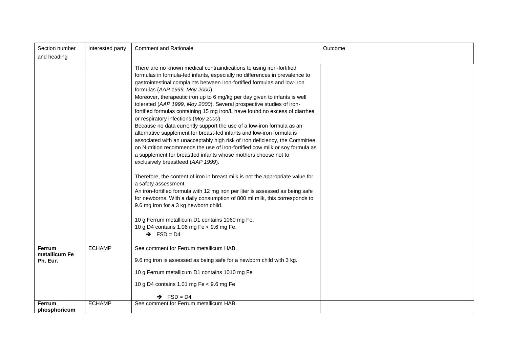| Section number<br>and heading              | Interested party | <b>Comment and Rationale</b>                                                                                                                                                                                                                                                                                                                                                                                                                                                                                                                                                                                                                                                                                                                                                                                                                                                                                                                                                                                                                                                                                                                                                                                                                                                                                                                                                                                      | Outcome |
|--------------------------------------------|------------------|-------------------------------------------------------------------------------------------------------------------------------------------------------------------------------------------------------------------------------------------------------------------------------------------------------------------------------------------------------------------------------------------------------------------------------------------------------------------------------------------------------------------------------------------------------------------------------------------------------------------------------------------------------------------------------------------------------------------------------------------------------------------------------------------------------------------------------------------------------------------------------------------------------------------------------------------------------------------------------------------------------------------------------------------------------------------------------------------------------------------------------------------------------------------------------------------------------------------------------------------------------------------------------------------------------------------------------------------------------------------------------------------------------------------|---------|
|                                            |                  | There are no known medical contraindications to using iron-fortified<br>formulas in formula-fed infants, especially no differences in prevalence to<br>gastrointestinal complaints between iron-fortified formulas and low-iron<br>formulas (AAP 1999, Moy 2000).<br>Moreover, therapeutic iron up to 6 mg/kg per day given to infants is well<br>tolerated (AAP 1999, Moy 2000). Several prospective studies of iron-<br>fortified formulas containing 15 mg iron/L have found no excess of diarrhea<br>or respiratory infections (Moy 2000).<br>Because no data currently support the use of a low-iron formula as an<br>alternative supplement for breast-fed infants and low-iron formula is<br>associated with an unacceptably high risk of iron deficiency, the Committee<br>on Nutrition recommends the use of iron-fortified cow milk or soy formula as<br>a supplement for breastfed infants whose mothers choose not to<br>exclusively breastfeed (AAP 1999).<br>Therefore, the content of iron in breast milk is not the appropriate value for<br>a safety assessment.<br>An iron-fortified formula with 12 mg iron per liter is assessed as being safe<br>for newborns. With a daily consumption of 800 ml milk, this corresponds to<br>9.6 mg iron for a 3 kg newborn child.<br>10 g Ferrum metallicum D1 contains 1060 mg Fe.<br>10 g D4 contains 1.06 mg Fe < 9.6 mg Fe.<br>$\rightarrow$ FSD = D4 |         |
| <b>Ferrum</b><br>metallicum Fe<br>Ph. Eur. | <b>ECHAMP</b>    | See comment for Ferrum metallicum HAB.<br>9.6 mg iron is assessed as being safe for a newborn child with 3 kg.<br>10 g Ferrum metallicum D1 contains 1010 mg Fe<br>10 g D4 contains 1.01 mg Fe < 9.6 mg Fe<br>$\rightarrow$ FSD = D4                                                                                                                                                                                                                                                                                                                                                                                                                                                                                                                                                                                                                                                                                                                                                                                                                                                                                                                                                                                                                                                                                                                                                                              |         |
| <b>Ferrum</b><br>phosphoricum              | <b>ECHAMP</b>    | See comment for Ferrum metallicum HAB.                                                                                                                                                                                                                                                                                                                                                                                                                                                                                                                                                                                                                                                                                                                                                                                                                                                                                                                                                                                                                                                                                                                                                                                                                                                                                                                                                                            |         |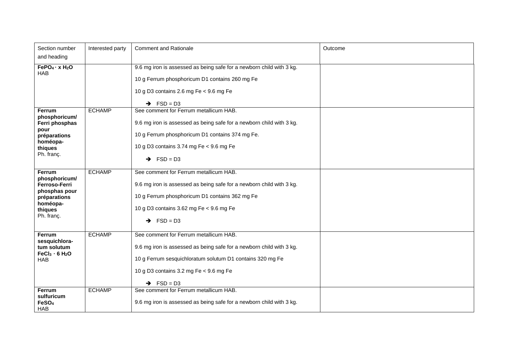| Section number                                                                                                        | Interested party | <b>Comment and Rationale</b>                                                                                                                                                                                                                    | Outcome |
|-----------------------------------------------------------------------------------------------------------------------|------------------|-------------------------------------------------------------------------------------------------------------------------------------------------------------------------------------------------------------------------------------------------|---------|
| and heading                                                                                                           |                  |                                                                                                                                                                                                                                                 |         |
| FePO <sub>4</sub> · x H <sub>2</sub> O<br><b>HAB</b>                                                                  |                  | 9.6 mg iron is assessed as being safe for a newborn child with 3 kg.<br>10 g Ferrum phosphoricum D1 contains 260 mg Fe<br>10 g D3 contains 2.6 mg Fe $<$ 9.6 mg Fe<br>$\rightarrow$ FSD = D3                                                    |         |
| Ferrum<br>phosphoricum/<br>Ferri phosphas<br>pour<br>préparations<br>homéopa-<br>thiques<br>Ph. franç.                | <b>ECHAMP</b>    | See comment for Ferrum metallicum HAB.<br>9.6 mg iron is assessed as being safe for a newborn child with 3 kg.<br>10 g Ferrum phosphoricum D1 contains 374 mg Fe.<br>10 g D3 contains 3.74 mg Fe < 9.6 mg Fe<br>$\rightarrow$ FSD = D3          |         |
| <b>Ferrum</b><br>phosphoricum/<br>Ferroso-Ferri<br>phosphas pour<br>préparations<br>homéopa-<br>thiques<br>Ph. franç. | <b>ECHAMP</b>    | See comment for Ferrum metallicum HAB.<br>9.6 mg iron is assessed as being safe for a newborn child with 3 kg.<br>10 g Ferrum phosphoricum D1 contains 362 mg Fe<br>10 g D3 contains 3.62 mg Fe < 9.6 mg Fe<br>$\rightarrow$ FSD = D3           |         |
| Ferrum<br>sesquichlora-<br>tum solutum<br>FeCl <sub>3</sub> · 6 H <sub>2</sub> O<br><b>HAB</b>                        | <b>ECHAMP</b>    | See comment for Ferrum metallicum HAB.<br>9.6 mg iron is assessed as being safe for a newborn child with 3 kg.<br>10 g Ferrum sesquichloratum solutum D1 contains 320 mg Fe<br>10 g D3 contains 3.2 mg Fe < 9.6 mg Fe<br>$\rightarrow$ FSD = D3 |         |
| Ferrum<br>sulfuricum<br>FeSO <sub>4</sub><br><b>HAB</b>                                                               | <b>ECHAMP</b>    | See comment for Ferrum metallicum HAB.<br>9.6 mg iron is assessed as being safe for a newborn child with 3 kg.                                                                                                                                  |         |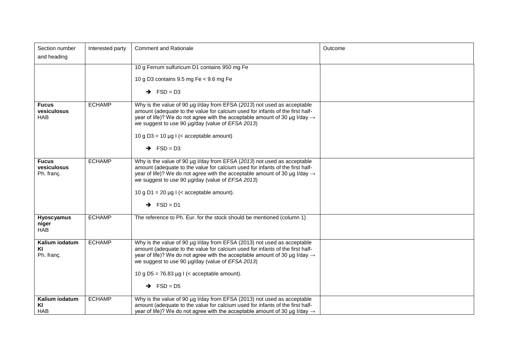| Section number<br>and heading             | Interested party | <b>Comment and Rationale</b>                                                                                                                                                                                                                                                                                                                                                         | Outcome |
|-------------------------------------------|------------------|--------------------------------------------------------------------------------------------------------------------------------------------------------------------------------------------------------------------------------------------------------------------------------------------------------------------------------------------------------------------------------------|---------|
|                                           |                  | 10 g Ferrum sulfuricum D1 contains 950 mg Fe<br>10 g D3 contains $9.5$ mg Fe < $9.6$ mg Fe<br>$\rightarrow$ FSD = D3                                                                                                                                                                                                                                                                 |         |
| <b>Fucus</b><br>vesiculosus<br><b>HAB</b> | <b>ECHAMP</b>    | Why is the value of 90 µg I/day from EFSA (2013) not used as acceptable<br>amount (adequate to the value for calcium used for infants of the first half-<br>year of life)? We do not agree with the acceptable amount of 30 µg I/day $\rightarrow$<br>we suggest to use 90 µg/day (value of EFSA 2013)<br>10 g D3 = 10 $\mu$ g I (< acceptable amount)<br>$\rightarrow$ FSD = D3     |         |
| <b>Fucus</b><br>vesiculosus<br>Ph. franç. | <b>ECHAMP</b>    | Why is the value of 90 µg I/day from EFSA (2013) not used as acceptable<br>amount (adequate to the value for calcium used for infants of the first half-<br>year of life)? We do not agree with the acceptable amount of 30 µg I/day $\rightarrow$<br>we suggest to use 90 µg/day (value of EFSA 2013)<br>10 g D1 = 20 $\mu$ g I (< acceptable amount).<br>$\rightarrow$ FSD = D1    |         |
| <b>Hyoscyamus</b><br>niger<br><b>HAB</b>  | <b>ECHAMP</b>    | The reference to Ph. Eur. for the stock should be mentioned (column 1)                                                                                                                                                                                                                                                                                                               |         |
| Kalium iodatum<br>KI<br>Ph. franç.        | <b>ECHAMP</b>    | Why is the value of 90 µg I/day from EFSA (2013) not used as acceptable<br>amount (adequate to the value for calcium used for infants of the first half-<br>year of life)? We do not agree with the acceptable amount of 30 µg I/day $\rightarrow$<br>we suggest to use 90 µg/day (value of EFSA 2013)<br>10 g D5 = 76.83 $\mu$ g I (< acceptable amount).<br>$\rightarrow$ FSD = D5 |         |
| Kalium iodatum<br>KI<br><b>HAB</b>        | <b>ECHAMP</b>    | Why is the value of 90 µg I/day from EFSA (2013) not used as acceptable<br>amount (adequate to the value for calcium used for infants of the first half-<br>year of life)? We do not agree with the acceptable amount of 30 µg I/day $\rightarrow$                                                                                                                                   |         |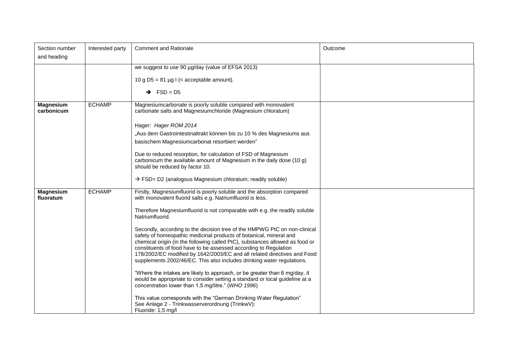| Section number<br>and heading  | Interested party | <b>Comment and Rationale</b>                                                                                                                                                                                                                                                                                                                                                                                                                              | Outcome |
|--------------------------------|------------------|-----------------------------------------------------------------------------------------------------------------------------------------------------------------------------------------------------------------------------------------------------------------------------------------------------------------------------------------------------------------------------------------------------------------------------------------------------------|---------|
|                                |                  | we suggest to use 90 µg/day (value of EFSA 2013)                                                                                                                                                                                                                                                                                                                                                                                                          |         |
|                                |                  | 10 g D5 = 81 $\mu$ g I (< acceptable amount).                                                                                                                                                                                                                                                                                                                                                                                                             |         |
|                                |                  | $\rightarrow$ FSD = D5                                                                                                                                                                                                                                                                                                                                                                                                                                    |         |
| <b>Magnesium</b><br>carbonicum | <b>ECHAMP</b>    | Magnesiumcarbonate is poorly soluble compared with monovalent<br>carbonate salts and Magnesiumchloride (Magnesium chloratum)                                                                                                                                                                                                                                                                                                                              |         |
|                                |                  | Hager: Hager ROM 2014                                                                                                                                                                                                                                                                                                                                                                                                                                     |         |
|                                |                  | "Aus dem Gastrointestinaltrakt können bis zu 10 % des Magnesiums aus<br>basischem Magnesiumcarbonat resorbiert werden"                                                                                                                                                                                                                                                                                                                                    |         |
|                                |                  | Due to reduced resorption, for calculation of FSD of Magnesium<br>carbonicum the available amount of Magnesium in the daily dose (10 g)<br>should be reduced by factor 10.                                                                                                                                                                                                                                                                                |         |
|                                |                  | → FSD= D2 (analogous Magnesium chloratum; readily soluble)                                                                                                                                                                                                                                                                                                                                                                                                |         |
| <b>Magnesium</b><br>fluoratum  | <b>ECHAMP</b>    | Firstly, Magnesiumfluorid is poorly soluble and the absorption compared<br>with monovalent fluorid salts e.g. Natriumfluorid is less.                                                                                                                                                                                                                                                                                                                     |         |
|                                |                  | Therefore Magnesiumfluorid is not comparable with e.g. the readily soluble<br>Natriumfluorid.                                                                                                                                                                                                                                                                                                                                                             |         |
|                                |                  | Secondly, according to the decision tree of the HMPWG PtC on non-clinical<br>safety of homeopathic medicinal products of botanical, mineral and<br>chemical origin (in the following called PtC), substances allowed as food or<br>constituents of food have to be assessed according to Regulation<br>178/2002/EC modified by 1642/2003/EC and all related directives and Food<br>supplements 2002/46/EC. This also includes drinking water regulations. |         |
|                                |                  | "Where the intakes are likely to approach, or be greater than 6 mg/day, it<br>would be appropriate to consider setting a standard or local guideline at a<br>concentration lower than 1.5 mg/litre." (WHO 1996)                                                                                                                                                                                                                                           |         |
|                                |                  | This value corresponds with the "German Drinking Water Regulation"<br>See Anlage 2 - Trinkwasserverordnung (TrinkwV):<br>Fluoride: 1,5 mg/l                                                                                                                                                                                                                                                                                                               |         |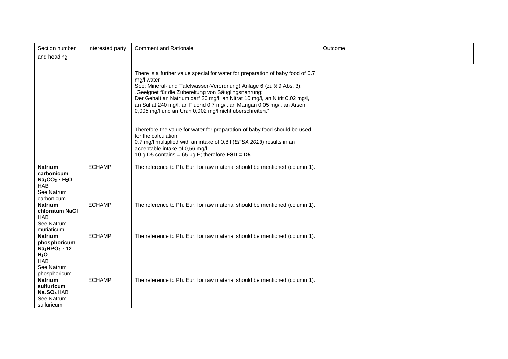| Section number<br>and heading                                                                                                         | Interested party | <b>Comment and Rationale</b>                                                                                                                                                                                                                                                                                                                                                                                                                   | Outcome |
|---------------------------------------------------------------------------------------------------------------------------------------|------------------|------------------------------------------------------------------------------------------------------------------------------------------------------------------------------------------------------------------------------------------------------------------------------------------------------------------------------------------------------------------------------------------------------------------------------------------------|---------|
|                                                                                                                                       |                  | There is a further value special for water for preparation of baby food of 0.7<br>mg/l water<br>See: Mineral- und Tafelwasser-Verordnung) Anlage 6 (zu § 9 Abs. 3):<br>"Geeignet für die Zubereitung von Säuglingsnahrung:<br>Der Gehalt an Natrium darf 20 mg/l, an Nitrat 10 mg/l, an Nitrit 0,02 mg/l,<br>an Sulfat 240 mg/l, an Fluorid 0,7 mg/l, an Mangan 0,05 mg/l, an Arsen<br>0,005 mg/l und an Uran 0,002 mg/l nicht überschreiten." |         |
|                                                                                                                                       |                  | Therefore the value for water for preparation of baby food should be used<br>for the calculation:<br>0.7 mg/l multiplied with an intake of 0,81 (EFSA 2013) results in an<br>acceptable intake of 0,56 mg/l<br>10 g D5 contains = $65 \mu g$ F; therefore FSD = D5                                                                                                                                                                             |         |
| <b>Natrium</b><br>carbonicum<br>$Na2CO3$ H <sub>2</sub> O<br><b>HAB</b><br>See Natrum<br>carbonicum                                   | <b>ECHAMP</b>    | The reference to Ph. Eur. for raw material should be mentioned (column 1).                                                                                                                                                                                                                                                                                                                                                                     |         |
| <b>Natrium</b><br>chloratum NaCl<br><b>HAB</b><br>See Natrum<br>muriaticum                                                            | <b>ECHAMP</b>    | The reference to Ph. Eur. for raw material should be mentioned (column 1).                                                                                                                                                                                                                                                                                                                                                                     |         |
| <b>Natrium</b><br>phosphoricum<br>Na <sub>2</sub> HPO <sub>4</sub> 12<br>H <sub>2</sub> O<br><b>HAB</b><br>See Natrum<br>phosphoricum | <b>ECHAMP</b>    | The reference to Ph. Eur. for raw material should be mentioned (column 1).                                                                                                                                                                                                                                                                                                                                                                     |         |
| <b>Natrium</b><br>sulfuricum<br>Na <sub>2</sub> SO <sub>4</sub> HAB<br>See Natrum<br>sulfuricum                                       | <b>ECHAMP</b>    | The reference to Ph. Eur. for raw material should be mentioned (column 1).                                                                                                                                                                                                                                                                                                                                                                     |         |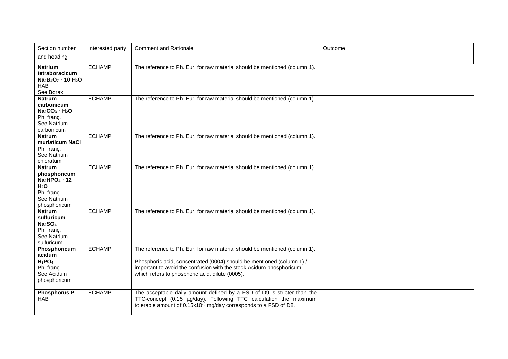| Section number                                                                                                                   | Interested party | <b>Comment and Rationale</b>                                                                                                                                                                                                                                                  | Outcome |
|----------------------------------------------------------------------------------------------------------------------------------|------------------|-------------------------------------------------------------------------------------------------------------------------------------------------------------------------------------------------------------------------------------------------------------------------------|---------|
| and heading                                                                                                                      |                  |                                                                                                                                                                                                                                                                               |         |
| <b>Natrium</b><br>tetraboracicum<br>Na <sub>2</sub> B <sub>4</sub> O <sub>7</sub> 10 H <sub>2</sub> O<br><b>HAB</b><br>See Borax | <b>ECHAMP</b>    | The reference to Ph. Eur. for raw material should be mentioned (column 1).                                                                                                                                                                                                    |         |
| <b>Natrum</b><br>carbonicum<br>$Na2CO3$ . H <sub>2</sub> O<br>Ph. franç.<br>See Natrium<br>carbonicum                            | <b>ECHAMP</b>    | The reference to Ph. Eur. for raw material should be mentioned (column 1).                                                                                                                                                                                                    |         |
| <b>Natrum</b><br>muriaticum NaCl<br>Ph. franc.<br>See Natrium<br>chloratum                                                       | <b>ECHAMP</b>    | The reference to Ph. Eur. for raw material should be mentioned (column 1).                                                                                                                                                                                                    |         |
| <b>Natrum</b><br>phosphoricum<br>$Na2HPO4$ 12<br>H <sub>2</sub> O<br>Ph. franç.<br>See Natrium<br>phosphoricum                   | <b>ECHAMP</b>    | The reference to Ph. Eur. for raw material should be mentioned (column 1).                                                                                                                                                                                                    |         |
| <b>Natrum</b><br>sulfuricum<br>Na <sub>2</sub> SO <sub>4</sub><br>Ph. franç.<br>See Natrium<br>sulfuricum                        | <b>ECHAMP</b>    | The reference to Ph. Eur. for raw material should be mentioned (column 1).                                                                                                                                                                                                    |         |
| Phosphoricum<br>acidum<br>$H_3PO_4$<br>Ph. franç.<br>See Acidum<br>phosphoricum                                                  | <b>ECHAMP</b>    | The reference to Ph. Eur. for raw material should be mentioned (column 1).<br>Phosphoric acid, concentrated (0004) should be mentioned (column 1) /<br>important to avoid the confusion with the stock Acidum phosphoricum<br>which refers to phosphoric acid, dilute (0005). |         |
| <b>Phosphorus P</b><br><b>HAB</b>                                                                                                | <b>ECHAMP</b>    | The acceptable daily amount defined by a FSD of D9 is stricter than the<br>TTC-concept (0.15 µg/day). Following TTC calculation the maximum<br>tolerable amount of 0.15x10 <sup>-3</sup> mg/day corresponds to a FSD of D8.                                                   |         |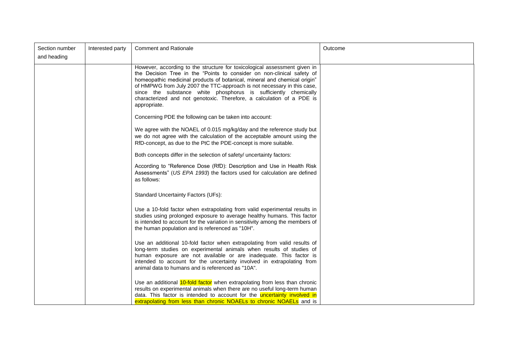| Section number<br>and heading | Interested party | <b>Comment and Rationale</b>                                                                                                                                                                                                                                                                                                                                                                                                                                            | Outcome |
|-------------------------------|------------------|-------------------------------------------------------------------------------------------------------------------------------------------------------------------------------------------------------------------------------------------------------------------------------------------------------------------------------------------------------------------------------------------------------------------------------------------------------------------------|---------|
|                               |                  | However, according to the structure for toxicological assessment given in<br>the Decision Tree in the "Points to consider on non-clinical safety of<br>homeopathic medicinal products of botanical, mineral and chemical origin"<br>of HMPWG from July 2007 the TTC-approach is not necessary in this case,<br>since the substance white phosphorus is sufficiently chemically<br>characterized and not genotoxic. Therefore, a calculation of a PDE is<br>appropriate. |         |
|                               |                  | Concerning PDE the following can be taken into account:                                                                                                                                                                                                                                                                                                                                                                                                                 |         |
|                               |                  | We agree with the NOAEL of 0.015 mg/kg/day and the reference study but<br>we do not agree with the calculation of the acceptable amount using the<br>RfD-concept, as due to the PtC the PDE-concept is more suitable.                                                                                                                                                                                                                                                   |         |
|                               |                  | Both concepts differ in the selection of safety/ uncertainty factors:                                                                                                                                                                                                                                                                                                                                                                                                   |         |
|                               |                  | According to "Reference Dose (RfD): Description and Use in Health Risk<br>Assessments" (US EPA 1993) the factors used for calculation are defined<br>as follows:                                                                                                                                                                                                                                                                                                        |         |
|                               |                  | <b>Standard Uncertainty Factors (UFs):</b>                                                                                                                                                                                                                                                                                                                                                                                                                              |         |
|                               |                  | Use a 10-fold factor when extrapolating from valid experimental results in<br>studies using prolonged exposure to average healthy humans. This factor<br>is intended to account for the variation in sensitivity among the members of<br>the human population and is referenced as "10H".                                                                                                                                                                               |         |
|                               |                  | Use an additional 10-fold factor when extrapolating from valid results of<br>long-term studies on experimental animals when results of studies of<br>human exposure are not available or are inadequate. This factor is<br>intended to account for the uncertainty involved in extrapolating from<br>animal data to humans and is referenced as "10A".                                                                                                                  |         |
|                               |                  | Use an additional 10-fold factor when extrapolating from less than chronic<br>results on experimental animals when there are no useful long-term human<br>data. This factor is intended to account for the <b>uncertainty involved in</b><br>extrapolating from less than chronic NOAELs to chronic NOAELs and is                                                                                                                                                       |         |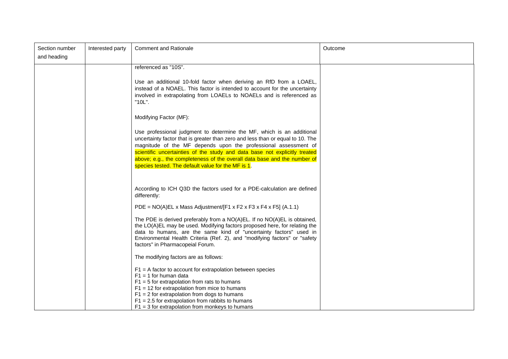| Section number<br>and heading | Interested party | <b>Comment and Rationale</b>                                                                                                                                                                                                                                                                                                                                                                                                               | Outcome |
|-------------------------------|------------------|--------------------------------------------------------------------------------------------------------------------------------------------------------------------------------------------------------------------------------------------------------------------------------------------------------------------------------------------------------------------------------------------------------------------------------------------|---------|
|                               |                  | referenced as "10S".<br>Use an additional 10-fold factor when deriving an RfD from a LOAEL,<br>instead of a NOAEL. This factor is intended to account for the uncertainty<br>involved in extrapolating from LOAELs to NOAELs and is referenced as<br>"10L".                                                                                                                                                                                |         |
|                               |                  | Modifying Factor (MF):                                                                                                                                                                                                                                                                                                                                                                                                                     |         |
|                               |                  | Use professional judgment to determine the MF, which is an additional<br>uncertainty factor that is greater than zero and less than or equal to 10. The<br>magnitude of the MF depends upon the professional assessment of<br>scientific uncertainties of the study and data base not explicitly treated<br>above; e.g., the completeness of the overall data base and the number of<br>species tested. The default value for the MF is 1. |         |
|                               |                  | According to ICH Q3D the factors used for a PDE-calculation are defined<br>differently:                                                                                                                                                                                                                                                                                                                                                    |         |
|                               |                  | PDE = $NO(A)EL \times Mass$ Adjustment/[F1 x F2 x F3 x F4 x F5] (A.1.1)                                                                                                                                                                                                                                                                                                                                                                    |         |
|                               |                  | The PDE is derived preferably from a NO(A)EL. If no NO(A)EL is obtained,<br>the LO(A)EL may be used. Modifying factors proposed here, for relating the<br>data to humans, are the same kind of "uncertainty factors" used in<br>Environmental Health Criteria (Ref. 2), and "modifying factors" or "safety<br>factors" in Pharmacopeial Forum.                                                                                             |         |
|                               |                  | The modifying factors are as follows:                                                                                                                                                                                                                                                                                                                                                                                                      |         |
|                               |                  | $F1 = A$ factor to account for extrapolation between species<br>$F1 = 1$ for human data<br>$F1 = 5$ for extrapolation from rats to humans<br>$F1 = 12$ for extrapolation from mice to humans<br>$F1 = 2$ for extrapolation from dogs to humans<br>$F1 = 2.5$ for extrapolation from rabbits to humans<br>$F1 = 3$ for extrapolation from monkeys to humans                                                                                 |         |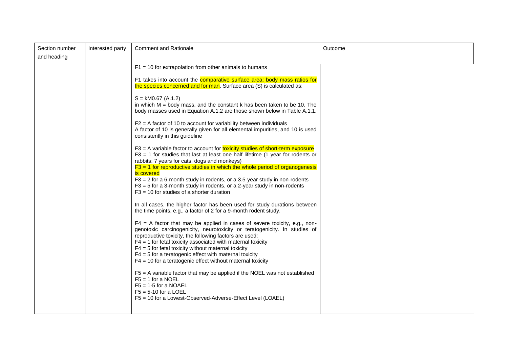| Section number<br>and heading | Interested party | <b>Comment and Rationale</b>                                                                                                                                                                                                                                                                                                                                                                                                                                                                                                                                                                                                                                                                                                                                                                                                                                                                                                                                                                                                                                                                                                                                                                                                                                                                                                                                                                                                                                                                                                                                                                                                                                                                                                                                                                                                                                                                                                                                                            | Outcome |
|-------------------------------|------------------|-----------------------------------------------------------------------------------------------------------------------------------------------------------------------------------------------------------------------------------------------------------------------------------------------------------------------------------------------------------------------------------------------------------------------------------------------------------------------------------------------------------------------------------------------------------------------------------------------------------------------------------------------------------------------------------------------------------------------------------------------------------------------------------------------------------------------------------------------------------------------------------------------------------------------------------------------------------------------------------------------------------------------------------------------------------------------------------------------------------------------------------------------------------------------------------------------------------------------------------------------------------------------------------------------------------------------------------------------------------------------------------------------------------------------------------------------------------------------------------------------------------------------------------------------------------------------------------------------------------------------------------------------------------------------------------------------------------------------------------------------------------------------------------------------------------------------------------------------------------------------------------------------------------------------------------------------------------------------------------------|---------|
|                               |                  | $F1 = 10$ for extrapolation from other animals to humans<br>F1 takes into account the comparative surface area: body mass ratios for<br>the species concerned and for man. Surface area (S) is calculated as:<br>$S = kM0.67$ (A.1.2)<br>in which $M =$ body mass, and the constant $k$ has been taken to be 10. The<br>body masses used in Equation A.1.2 are those shown below in Table A.1.1.<br>$F2 = A$ factor of 10 to account for variability between individuals<br>A factor of 10 is generally given for all elemental impurities, and 10 is used<br>consistently in this guideline<br>$F3 = A$ variable factor to account for <b>toxicity studies of short-term exposure</b><br>$F3 = 1$ for studies that last at least one half lifetime (1 year for rodents or<br>rabbits; 7 years for cats, dogs and monkeys)<br>$F3 = 1$ for reproductive studies in which the whole period of organogenesis<br>is covered<br>$F3 = 2$ for a 6-month study in rodents, or a 3.5-year study in non-rodents<br>$F3 = 5$ for a 3-month study in rodents, or a 2-year study in non-rodents<br>$F3 = 10$ for studies of a shorter duration<br>In all cases, the higher factor has been used for study durations between<br>the time points, e.g., a factor of 2 for a 9-month rodent study.<br>$F4 = A$ factor that may be applied in cases of severe toxicity, e.g., non-<br>genotoxic carcinogenicity, neurotoxicity or teratogenicity. In studies of<br>reproductive toxicity, the following factors are used:<br>$F4 = 1$ for fetal toxicity associated with maternal toxicity<br>$F4 = 5$ for fetal toxicity without maternal toxicity<br>$F4 = 5$ for a teratogenic effect with maternal toxicity<br>$F4 = 10$ for a teratogenic effect without maternal toxicity<br>F5 = A variable factor that may be applied if the NOEL was not established<br>$F5 = 1$ for a NOEL<br>$F5 = 1-5$ for a NOAEL<br>$F5 = 5-10$ for a LOEL<br>F5 = 10 for a Lowest-Observed-Adverse-Effect Level (LOAEL) |         |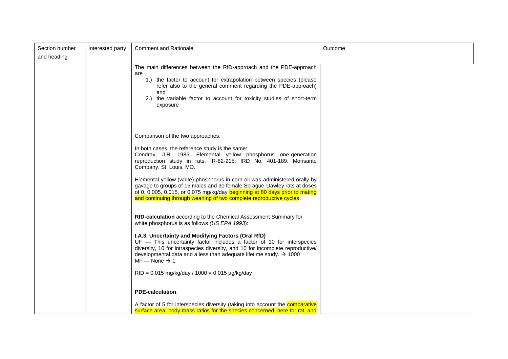| Section number | Interested party | <b>Comment and Rationale</b>                                                                                                                                                                                                                                                                                                 | Outcome |
|----------------|------------------|------------------------------------------------------------------------------------------------------------------------------------------------------------------------------------------------------------------------------------------------------------------------------------------------------------------------------|---------|
| and heading    |                  |                                                                                                                                                                                                                                                                                                                              |         |
|                |                  | The main differences between the RfD-approach and the PDE-approach<br>are<br>1.) the factor to account for extrapolation between species (please<br>refer also to the general comment regarding the PDE-approach)<br>and<br>the variable factor to account for toxicity studies of short-term<br>2.<br>exposure              |         |
|                |                  | Comparison of the two approaches:                                                                                                                                                                                                                                                                                            |         |
|                |                  | In both cases, the reference study is the same:<br>Condray, J.R. 1985. Elemental yellow phosphorus one-generation<br>reproduction study in rats. IR-82-215; IRD No. 401-189. Monsanto<br>Company, St. Louis, MO.                                                                                                             |         |
|                |                  | Elemental yellow (white) phosphorus in corn oil was administered orally by<br>gavage to groups of 15 males and 30 female Sprague-Dawley rats at doses<br>of 0, 0.005, 0.015, or 0.075 mg/kg/day beginning at 80 days prior to mating<br>and continuing through weaning of two complete reproductive cycles.                  |         |
|                |                  | <b>RfD-calculation</b> according to the Chemical Assessment Summary for<br>white phosphorus is as follows (US EPA 1993):                                                                                                                                                                                                     |         |
|                |                  | I.A.3. Uncertainty and Modifying Factors (Oral RfD)<br>UF - This uncertainty factor includes a factor of 10 for interspecies<br>diversity, 10 for intraspecies diversity, and 10 for incomplete reproductive/<br>developmental data and a less than adequate lifetime study. $\rightarrow$ 1000<br>$MF - None \rightarrow 1$ |         |
|                |                  | $RfD = 0.015$ mg/kg/day / 1000 = 0.015 µg/kg/day                                                                                                                                                                                                                                                                             |         |
|                |                  | <b>PDE-calculation:</b>                                                                                                                                                                                                                                                                                                      |         |
|                |                  | A factor of 5 for interspecies diversity (taking into account the comparative<br>surface area: body mass ratios for the species concerned, here for rat, and                                                                                                                                                                 |         |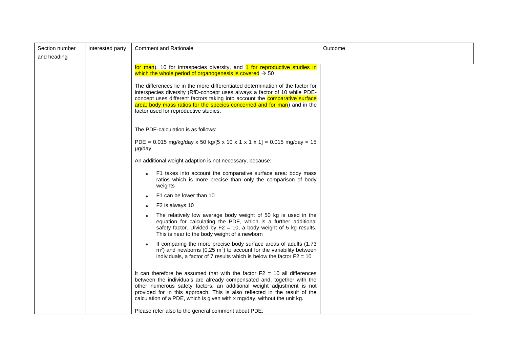| Section number | Interested party | <b>Comment and Rationale</b>                                                                                                                                                                                                                                                                                                                                                            | Outcome |
|----------------|------------------|-----------------------------------------------------------------------------------------------------------------------------------------------------------------------------------------------------------------------------------------------------------------------------------------------------------------------------------------------------------------------------------------|---------|
| and heading    |                  |                                                                                                                                                                                                                                                                                                                                                                                         |         |
|                |                  | for man), 10 for intraspecies diversity, and 1 for reproductive studies in<br>which the whole period of organogenesis is covered $\rightarrow$ 50                                                                                                                                                                                                                                       |         |
|                |                  | The differences lie in the more differentiated determination of the factor for<br>interspecies diversity (RfD-concept uses always a factor of 10 while PDE-<br>concept uses different factors taking into account the <b>comparative surface</b><br>area: body mass ratios for the species concerned and for man) and in the<br>factor used for reproductive studies.                   |         |
|                |                  | The PDE-calculation is as follows:                                                                                                                                                                                                                                                                                                                                                      |         |
|                |                  | PDE = $0.015$ mg/kg/day x 50 kg/[5 x 10 x 1 x 1 x 1] = $0.015$ mg/day = 15<br>µg/day                                                                                                                                                                                                                                                                                                    |         |
|                |                  | An additional weight adaption is not necessary, because:                                                                                                                                                                                                                                                                                                                                |         |
|                |                  | F1 takes into account the comparative surface area: body mass<br>ratios which is more precise than only the comparison of body<br>weights                                                                                                                                                                                                                                               |         |
|                |                  | F1 can be lower than 10                                                                                                                                                                                                                                                                                                                                                                 |         |
|                |                  | F2 is always 10<br>$\bullet$                                                                                                                                                                                                                                                                                                                                                            |         |
|                |                  | The relatively low average body weight of 50 kg is used in the<br>equation for calculating the PDE, which is a further additional<br>safety factor. Divided by $F2 = 10$ , a body weight of 5 kg results.<br>This is near to the body weight of a newborn                                                                                                                               |         |
|                |                  | If comparing the more precise body surface areas of adults (1.73<br>$m2$ ) and newborns (0.25 m <sup>2</sup> ) to account for the variability between<br>individuals, a factor of 7 results which is below the factor $F2 = 10$                                                                                                                                                         |         |
|                |                  | It can therefore be assumed that with the factor $F2 = 10$ all differences<br>between the individuals are already compensated and, together with the<br>other numerous safety factors, an additional weight adjustment is not<br>provided for in this approach. This is also reflected in the result of the<br>calculation of a PDE, which is given with x mg/day, without the unit kg. |         |
|                |                  | Please refer also to the general comment about PDE.                                                                                                                                                                                                                                                                                                                                     |         |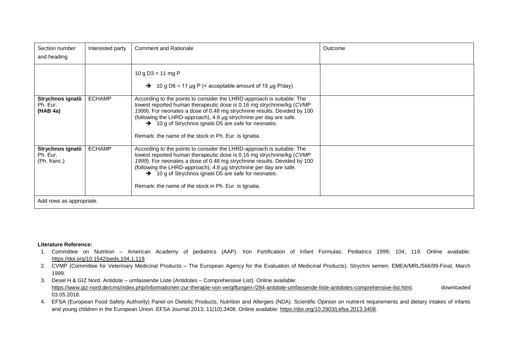| Section number<br>and heading                                             | Interested party | <b>Comment and Rationale</b>                                                                                                                                                                                                                                                                                                                                                                                        | Outcome |
|---------------------------------------------------------------------------|------------------|---------------------------------------------------------------------------------------------------------------------------------------------------------------------------------------------------------------------------------------------------------------------------------------------------------------------------------------------------------------------------------------------------------------------|---------|
|                                                                           |                  | 10 g D3 = 11 mg P<br>$\rightarrow$ 10 g D6 = 11 µg P (< acceptable amount of 15 µg P/day)                                                                                                                                                                                                                                                                                                                           |         |
| Strychnos ignatii<br>Ph. Eur.<br>(HAB 4a)                                 | <b>ECHAMP</b>    | According to the points to consider the LHRD-approach is suitable: The<br>lowest reported human therapeutic dose is 0.16 mg strychnine/kg (CVMP<br>1999). For neonates a dose of 0.48 mg strychnine results. Devided by 100<br>(following the LHRD-approach), 4.8 µg strychnine per day are safe.<br>→ 10 g of Strychnos ignatii D5 are safe for neonates.<br>Remark: the name of the stock in Ph. Eur. is Ignatia. |         |
| Strychnos ignatii<br>Ph. Eur.<br>(Ph. franc.)<br>Add rows as appropriate. | <b>ECHAMP</b>    | According to the points to consider the LHRD-approach is suitable: The<br>lowest reported human therapeutic dose is 0.16 mg strychnine/kg (CVMP<br>1999). For neonates a dose of 0.48 mg strychnine results. Devided by 100<br>(following the LHRD-approach), 4.8 µg strychnine per day are safe.<br>→ 10 g of Strychnos ignatii D5 are safe for neonates.<br>Remark: the name of the stock in Ph. Eur. is Ignatia. |         |

#### **Literature Reference:**

- 1. Committee on Nutrition American Academy of pediatrics (AAP). Iron Fortification of Infant Formulas. Pediatrics 1999; 104; 119. Online available: <https://doi.org/10.1542/peds.104.1.119>
- 2. CVMP (Committee for Veterinary Medicinal Products The European Agency for the Evaluation of Medicinal Products). Strychni semen. EMEA/MRL/566/99-Final, March 1999.
- 3. Desel H & GIZ Nord. Antidote umfassende Liste (Antidotes Comprehensive List). Online available: [https://www.giz-nord.de/cms/index.php/informationen-zur-therapie-von-vergiftungen-/284-antidote-umfassende-liste-antidotes-comprehensive-list.html,](https://www.giz-nord.de/cms/index.php/informationen-zur-therapie-von-vergiftungen-/284-antidote-umfassende-liste-antidotes-comprehensive-list.html) downloaded 03.05.2018.
- 4. EFSA (European Food Safety Authority) Panel on Dietetic Products, Nutrition and Allergies (NDA). Scientific Opinion on nutrient requirements and dietary intakes of infants and young children in the European Union. EFSA Journal 2013; 11(10):3408. Online available: [https://doi.org/10.2903/j.efsa.2013.3408.](https://doi.org/10.2903/j.efsa.2013.3408)